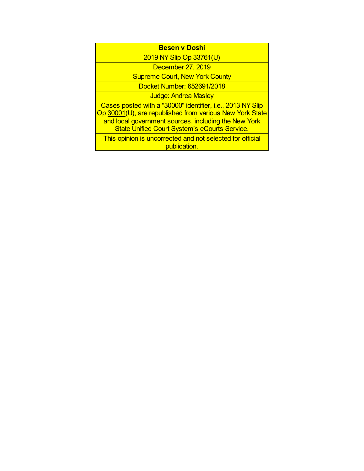| <b>Besen v Doshi</b> |  |  |  |  |
|----------------------|--|--|--|--|

2019 NY Slip Op 33761(U)

December 27, 2019

Supreme Court, New York County

Docket Number: 652691/2018

Judge: Andrea Masley

Cases posted with a "30000" identifier, i.e., 2013 NY Slip Op 30001(U), are republished from various New York State and local government sources, including the New York State Unified Court System's eCourts Service.

This opinion is uncorrected and not selected for official publication.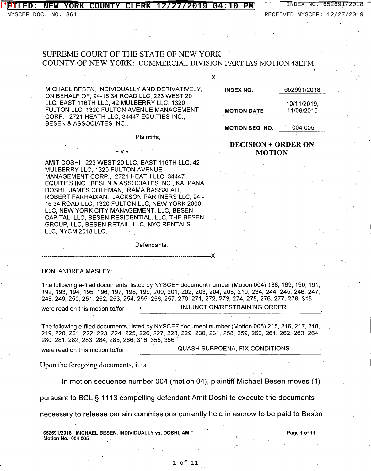### **NEW YORK COUNTY CLERK 12/27/2019 04:10 PM** INDEX NO. 652691/2018 [\*[]]

NYSCEF DOC. NO. 361 RECEIVED NYSCEF: 12/27/2019

# SUPREME COURT OF THE STATE OF NEW YORK COUNTY OF NEW YORK: COMMERCIAL DIVISION PART IAS MOTION 48EFM

MICHAEL BESEN, INDIVIDUALLY AND DERIVATIVELY, ON BEHALF OF, 94-16 34 ROAD LLC, 223 WEST 20 LLC, EAST 116TH LLC, 42 MULBERRY LLC, 1320 FULTON LLC, 1320 FULTON AVENUE MANAGEMENT CORP., 2721 HEATH LLC, 34447 EQUITIES INC., - BESEN & ASSOCIATES INC.,

-v-

-------------~--------------------------------------------------------------------X

INDEX NO. 652691/2018

MOTION DATE 11/06/2019

10/11/2019,

**MOTION SEQ. NO. 004 005** 

## DECISION+ ORDER ON MOTION

AMIT DOSHI, 223 WEST 20 LLC, EAST 116TH LLC, 42 MULBERRY LLC, 1320 FULTON AVENUE . MANAGEMENT CORP., 2721 HEATH LLC, 34447 EQUITIES INC., BESEN & ASSOCIATES INC., KALPANA DOSHI, JAMES COLEMAN, RAMA BASSALALI, ROBERT FARHADIAN, JACKSON PARTNERS LLC, 94 - 16 34 ROAD LLC, 1320 FULTON LLC, NEW YORK 2000 LLC, NEW YORK CITY MANAGEMENT, LLC, BESEN CAPITAL, LLC, BESEN RESIDENTIAL, LLC, THE BESEN GROUP, LLC, BESEN RETAIL, LLC, NYC RENTALS, LLC, NYCM 2018 LLC,

-----------------------------------------------------------------------------------X

Defendants. .

Plaintiffs,

HON. ANDREA MASLEY:

The following e-filed documents, listed by NYSCEF document number (Motion 004) 188, 189, 190, 191, 192, 193, 194, 195, 196, 197, 198, 199, 200, 201, 202, 203, 204, 208, 210, 234, 244, 245, 246, 247, 248, 249, 250,251, 252, 253, 254, 255, 256, 257, 270, 271, 272,273, 274, 275, 276,277,278, 315 were read on this motion to/for  $\cdot$  INJUNCTION/RESTRAINING ORDER

The following e-filed documents, listed by NYSCEF document number (Motion 005) 215, 216, 217, 218, 219, 220, 221, 222, 223, 224, 225, 226, 227, 228, 229, 230, 231, 258, 259, 260, 261, 262, 263, 264, 280,281,282,283,284,285,286, 316, 355, 356.

were read on this motion to/for **QUASH SUBPOENA, FIX CONDITIONS** 

Upon the foregoing documents, it is

In motion sequence number 004 (motion 04), plaintiff Michael Besen moves (1)

pursuant to BCL § 1113 compelling defendant Amit Doshi to execute the documents

necessary to release certain commissions currently held in escrow to be paid to Besen

652691/2018 MICHAEL BESEN, INDIVIDUALLY vs. DOSHI, AMIT Motion No. 004 005

Page 1 of 11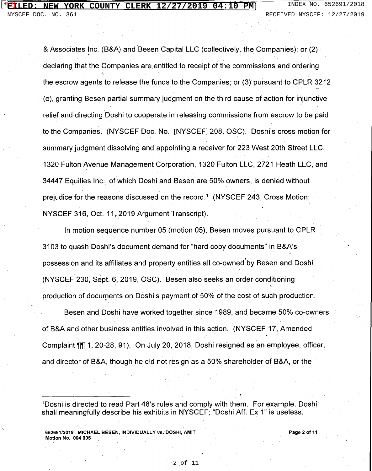& Associates Inc. (B&A) and Besen Capital LLC (collectively, the Companies); or (2) declaring that the Companies are entitled to receipt of the commissions and ordering the escrow agents to release the funds to the Companies; or (3} pursuant to CPLR 3212  $\overline{a}$ (e), granting Besen partial summary judgment on the third cause of action for injunctive relief and directing Doshi to cooperate in releasing commissions from escrow to be paid to the Companies. (NYSCEF Doc. No. [NYSCEF] 208, OSC). Doshi's cross motion for summary judgment dissolving and appointing a receiver for 223 West 20th Street LLC, 1320 Fulton Avenue Management Corporation, 1320 Fulton LLC, 2721 Heath LLC, and 34447 Equities Inc., of which Doshi and Besen are 50% owners, is denied without . prejudice for the reasons discussed on the record.<sup>1</sup> (NYSCEF 243, Cross Motion; NYSCEF 316, Oct. 11, 2019 Argument Transcript).

In motion sequence number 05 (motion 05), Besen moves pursuant to CPLR 3103 to quash Doshi's document demand for "hard copy documents" in B&A's possession and its affiliates and property entities all co-owned'by Besen and Doshi. (NYSCEF 230, Sept.6, 2019, OSC). Besen also seeks an order conditioning production of documents on Doshi's payment of 50% of the cost of such production.

Besen and Doshi have worked together since 1989, and became 50% co-owners  $\,$ of B&A and other business entities involved in this action. (NYSCEF 17, Amended Complaint 11, 20-28, 91). On July 20, 2018, Doshi resigned as an employee, officer, and director of B&A, though he did not resign as a 50% shareholder of B&A, or the ·

<sup>1</sup>Doshi is directed to read Part 48's rules and comply with them. For example, Doshi shall meaningfully describe his exhibits in NYSCEF; "Doshi Aff. Ex 1" is useless.

652691/2018 MICHAEL BESEN, INDIVIDUALLY vs.' DOSHI, AMIT Motion No. 004 005

Page 2 of 11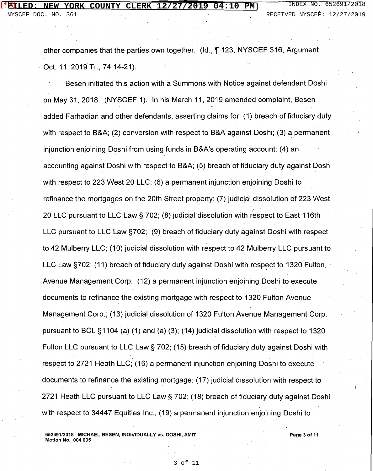other companies that the parties own together. (Id., ¶ 123; NYSCEF 316, Argument Oct. 11, 2019 Tr., 74:14-21).

Besen initiated this action with a Summons with Notice against defendant Doshi on May 31, 2018. (NYSCEF 1). In his March 11, 2019 amended complaint, Besen added Farhadian and other defendants, asserting claims for: (1) breach of fiduciary duty with respect to B&A; (2) conversion with respect to B&A against Doshi; (3) a permanent injunction enjoining Doshi from using funds in B&A's operating account; (4) an accounting against Doshi with respect to B&A; (5) breach of fiduciary duty against Doshi with respect to 223 West 20 LLC; (6) a permanent injunction enjoining Doshi to refinance the mortgages on the 20th Street property; (7) judicial dissolution of 223 West 20 LLC pursuant to LLC Law § 702; (8) judicial dissolution with r $\operatorname{espect}$  to East 116th LLC pursuant to LLC Law §702; (9) breach of fiduciary duty against Doshi with respect to 42 Mulberry LLC; (10) judicial dissolution with respect to 42 Mulberry LLC pursuant to LLC Law  $\S702$ ; (11) breach of fiduciary duty against Doshi with respect to 1320 Fulton Avenue Management Corp.; (12) a permanent injunction enjoining Doshi to execute documents to refinance.the existing mortgage with respect to 1320 Fulton Avenue Management Corp.; (13) judicial dissolution of 1320 Fulton Avenue Management Corp. pursuant to BCL §1104 (a) (1) and (a) (3); (14) judicial dissolution with respect to 1320 Fulton LLC pursuant to LLC Law  $\S$  702; (15) breach of fiduciary duty against Doshi with respect to 2721 Heath LLC; (16) a permanent injunction enjoining Doshi to execute documents to refinance the existing mortgage; (17) judicial dissolution with respect to 2721 Heath LLC pursuant to LLC Law§ 702; (18) breach of fiduciary duty against Doshi with respect to 34447 Equities Inc.; (19) a permanent injunction enjoining Doshi to

6526.91/2018 MICHAEL BESEN, INDIVIDUALLY vs. DOSHI, AMIT Motion No. 004 005

Page 3 of 11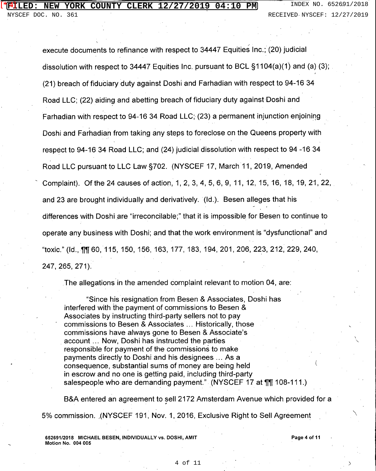### **NEW YORK COUNTY CLERK 12/27/2019 04:10 PM** INDEX NO. 652691/2018 <u>'ILED:</u>

execute documents to refinance with respect to 34447 Equities Inc.; (20) judicial dissolution with respect to 34447 Equities Inc. pursuant to BCL §1104(a)(1) and (a) (3); (21) breach of fiduciary duty against Doshi and Farhadian with respect to 94-16 34 Road LLC; (22) aiding and abetting breach of fiduciary duty against Doshi and Farhadian with respect to 94-16 34 Road LLC; (23) a permanent injunction enjoining Doshi and Farhadian from taking any steps to foreclose on the Queens property with respect to 94-16 34 Road LLC; and (24) judicial dissolution with respect to 94 -16 34 Road LLC pursuant to LLC Law §702. (NYSCEF 17, March 11, 2019, Amended <sup>~</sup>Complaint). Of the 24 causes of action, 1, 2, 3, 4, 5, 6, 9, 11, 12, 15, 16, 18, 19, 21, 22, and 23 are brought individually and derivatively. (Id.). Besen alleges that his differences with Doshi are "irreconcilable;" that it is impossible for Besen to continue to operate any business with Doshi; and that the work environment is "dysfunctional" and "toxic." (Id., 1[1[60, 115, 150, 156, 163, 177, 183, 194, 201, 206, 223, 212, 229, 240, 247, 265, 271).

The allegations in the amended complaint relevant to motion 04, are:

"Since his resignation from Besen & Associates, Doshi has interfered with the payment of commissions to Besen & Associates by instructing third-party sellers not to pay commissions to Besen & Associates ... Historically, those commissions have always gone to Besen & Associate's account ... Now, Doshi has instructed the parties responsible for payment of the commissions to make payments directly to Doshi and his designees ... As a consequence, substantial sums of money are being held in escrow and no one is getting paid, including third-party salespeople who are demanding payment." (NYSCEF 17 at \[\in 108-111.)

B&A entered an agreement to sell 2172 Amsterdam Avenue which provided for a 5% commission. ,(NYSCEF 191, Nov. 1, 2016, Exclusive Right to Sell Agreement

652691/2018 MICHAEL BESEN, INDIVIDUALLY vs. DOSHI, AMIT Motion No. 004 005

Page 4 of 11

 $\diagup$ 

)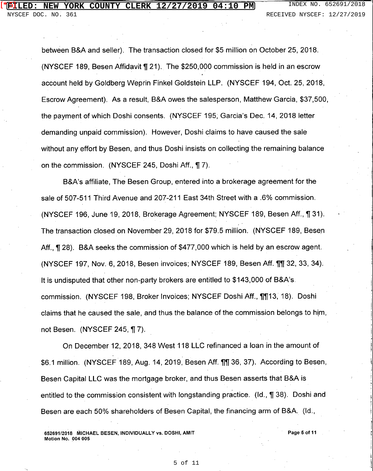#### **FIRE COUNTY CLERK 12/27/2019 04:10 PM** INDEX NO. 652691/2018  $[$ \* $\mathbf{5}]$

between B&A and seller). The transaction closed for \$5 million on October 25, 2018. (NYSCEF 189, Besen Affidavit **1{** 21). The \$250,000 commission is held in an escrow account held by Goldberg Weprin Finkel Goldstein LLP. (NYSCEF 194, Oct. 25, 2018, Escrow Agreement). As a result, B&A owes the salesperson, Matthew Garcia, \$37,500, the payment of which Doshi consents. (NYSCEF 195; Garcia's Dec. 14, 2018 letter demanding unpaid commission). However, Doshi claims to have caused the sale without any effort by Besen, and thus Doshi insists on collecting the remaining balance on the commission. (NYSCEF 245, Doshi Aff., **1{** 7).

B&A's affiliate, The Besen Group, entered into a brokerage agreement for the sale of 507-511 Third Avenue and 207-211 East 34th Street with a .6% commission. (NYSCEF 196, June 19, 2018, Brokerage Agreement; NYSCEF 189, Besen Aff., **1{** 31). The transaction closed on November 29, 2018 for \$79.5 million. (NYSCEF 189, Besen Aff., **1{** 28). B&A seeks the commission of \$477,000 which is held by an escrow agent. (NYSCEF 197, Nov. 6, 2018, Besen invoices; NYSCEF 189, Besen Aff.1{1{ 32, 33, 34). It is undisputed that other non-party brokers are entitled to \$143,000 of B&A's. commission. (NYSCEF 198, Broker Invoices; NYSCEF Doshi Aff., 1113, 18). Doshi claims that he caused the sale, and thus the balance of the commission belongs to hjm, not Besen. (NYSCEF 245, ¶ 7).

On December 12, 2018, 348 West 118 LLC refinanced a loan in the amount of \$6.1 million. (NYSCEF 189, Aug. 14, 2019, Besen Aff. 11, 36, 37). According to Besen, Besen Capital LLC was the mortgage broker, and thus Besen asserts that B&A is entitled to the commission consistent with longstanding practice. (Id., 1 38). Doshi and Besen are each 50% shareholders of Besen Capital, the financing arm of B&A. (Id.,

652691/2018 MICHAEL BESEN, INDIVIDUALLY vs. DOSHI, AMIT Motion No. 004 005

Page 5 of 11

l l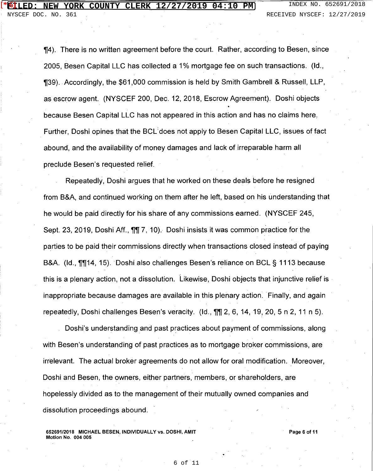**[14].** There is no written agreement before the court. Rather, according to Besen, since 2005, Besen Capital LLC has collected a 1 % mortgage fee on such transactions. (Id.,  $\textsf{I}39$ ). Accordingly, the \$61,000 commission is held by Smith Gambrell & Russell, LLP, as escrow agent. (NYSCEF 200, Dec. 12, 2018, Escrow Agreement). Doshi objects because Besen Capital LLC has not appeared in this action and has no claims here, Further, Doshi opines that the BCL:does not apply to Besen Capital LLC, issues of fact abound, and the availability of money damages and lack of irreparable harm all preclude Besen's requested relief.

Repeatedly, Doshi argues that he worked on these deals before he resigned from B&A, and continued working on them after he left, based on his understanding that he would be paid directly for his share of any commissions earned. (NYSCEF 245, Sept. 23, 2019, Doshi Aff., **[1]** 7, 10). Doshi insists it was common practice for the parties to be paid their commissions directly when transactions closed instead of paying B&A. (Id., 1114, 15). Doshi also challenges Besen's reliance on BCL § 1113 because this is a plenary action, not a dissolution. Likewise, Doshi objects that injunctive relief is inappropriate because damages are available in this plenary action. Finally, and again repeatedly, Doshi challenges Besen's veracity. (Id.,  $\P\P$  $2, 6, 14, 19, 20, 5$  n 2, 11 n 5).

Doshi's understanding and past practices about payment of commissions, along with Besen's understanding of past practices as to mortgage broker commissions, are irrelevant. The actual broker agreements do not allow for oral modification. Moreover, Doshi and Besen, the owners, either partners, members, or shareholders, are hopelessly divided as to the management of their mutually owned companies and dissolution proceedings abound.

652691/2018 MICHAEL BESEN, INDIVIDUALLY vs. DOSHI, AMIT Motion No. 004 005

Page 6 of 11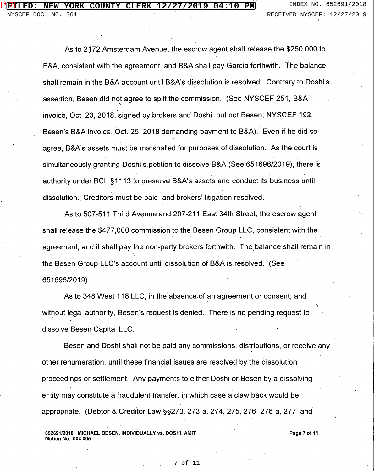As to 2172 Amsterdam Avenue, the escrow agent shall release the \$250,000 to B&A, consistent with the agreement, and B&A shall pay Garcia forthwith. The balance shall remain in the B&A account until B&A's dissolution is resolved. Contrary to Doshi's assertion, Besen did not agree to split the commission. (See NYSCEF 251, B&A \ invoice, Oct. 23, 2018, signed by brokers and Doshi, but not Besen; NYSCEF 192, Besen's B&A invoice, Oct. 25, 2018 demanding payment to B&A). Even if he did so agree, B&A's assets must be marshalled for purposes of dissolution. As the court is simultaneously granting Doshi's petition to dissolve B&A (See 651696/2019), there is authority under BCL §1113 to preserve B&A's assets and conduct its business until dissolution. Creditors must be paid, and brokers' litigation resolved.

As to 507-511 Third Avenue and 207-211 East 34th Street, the escrow agent shall release the \$477,000 commission to the Besen Group LLC, consistent with the agreement, and it shall pay the non-party brokers forthwith. The balance shall remain in the Besen Group LLC's account until dissolution of B&A is resolved. (See 651696/2019).

As to 348 West 118 LLC, in the absence of an agreement or consent, and without legal authority, Besen's request is denied. There is no pending request to dissolve Besen Capital LLC.

Besen and Doshi shall not be paid any commissions, distributions, or receive any other renumeration, until these financial issues are resolved by the dissolution proceedings or settlement. Any payments to either Doshi or Besen by a dissolving entity may constitute a fraudulent transfer, in which case a claw back would be appropriate. (Debtor & Creditor Law §§273, 273-a, 274, 275, 276, 276-a, 277, and

652691/2018 MICHAEL BESEN, INDIVIDUALLY vs. DOSHI, AMIT Motion No. 004 005

Page 7 of 11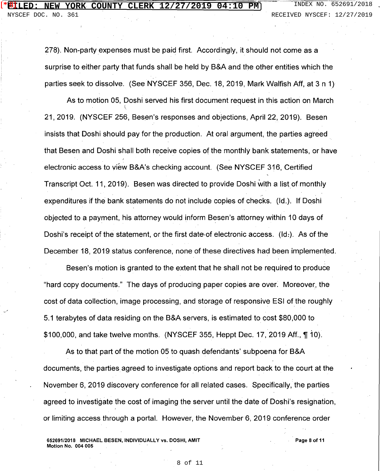278). Non-party expenses must be paid first. Accordingly, it should not come as a surprise to either party that funds shall be held by B&A and the other entities which the parties seek to dissolve. (See NYSCEF 356, Dec. 18, 2019, Mark Walfish Aff, at 3 n 1)

As to motion 05, Doshi served his first document request in this action on March  $\epsilon$ 21, 2019. (NYSCEF 256, Besen's responses and objections, April 22, 2019). Besen insists that Doshi should pay for the production. At oral argument, the parties agreed. that Besen and Doshi shall both receive copies of the monthly bank statements, or have electronic access to view B&A's checking account. (See NYSCEF 316, Certified Transcript Oct. 11, 2019). Besen was directed to provide Doshi with a list of monthly expenditures if the bank statements do not include copies of checks. (Id.). If Doshi objected to a payment, his attorney would inform Besen's attorney within 10 days of Doshi's receipt of the statement, or the first date of electronic access. (Id:). As of the December 18, 2019 status conference, none of these directives had been implemented.

Besen's motion is granted to the extent that he shall not be required to produce "hard copy documents." The days of producing paper copies are over. Moreover, the cost of data collection, image processing, and storage of responsive ESI of the roughly 5.1 terabytes of data residing on the B&A servers, is estimated to cost \$80,000 to \$100,000, and take twelve months. (NYSCEF 355, Heppt Dec. 17, 2019 Aff.,  $\P$  10).

As to that part of the motion 05 to quash defendants' subpoena for B&A documents, the parties agreed to investigate options and report back to the court at the November 6, 2019 discovery conference for all related cases. Specifically, the parties agreed to investigate the cost of imaging the server until the date of Doshi's resignation, or limiting access through a portal. However, the November 6, 2019 conference order

652691/2018 MICHAEL BESEN, INDIVIDUALLY vs. DOSHI, AMIT Motion No. 004 005

Page B of 11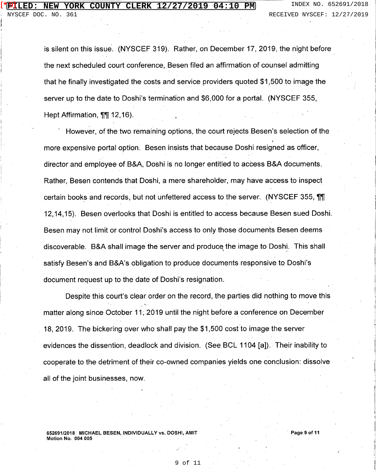is silent on this issue. (NYSCEF 319). Rather, on December 17, 2019, the night before the next scheduled court conference, Besen filed an affirmation of counsel admitting that he finally investigated the costs and service providers quoted \$1,500 to image the server up to the date to Doshi's termination and \$6,000 for a portal. (NYSCEF 355, Hept Affirmation, **11** 12, 16).

However, of the two remaining options, the court rejects Besen's selection of the more expensive portal option. Besen insists that because Doshi resigned as officer, director and employee of B&A, Doshi is no longer entitled to access B&A documents. Rather, Besen contends that Doshi, a mere shareholder, may have access to inspect certain books and records, but not unfettered access to the server. (NYSCEF 355, 11 12, 14, 15). Besen overlooks that Doshi is entitled to access because Besen sued Doshi. Besen may not limit or control Doshi's access to only those documents Besen deems discoverable. B&A shall image the server and produce the image to Doshi. This shall satisfy Besen's and B&A's obligation to produce documents responsive to Doshi's document request up to the date of Doshi's resignation.

Despite this court's clear order on the record, the parties did nothing to move this matter along since October 11; 2019 until the night before a conference on December 18, 2019. The bickering over who shall pay the \$1,500 cost to image the server evidences the dissention, deadlock and division. (See BCL 1104 [a]). Their inability to cooperate to the detriment of their co-owned companies yields one conclusion: dissolve all of the joint businesses, now.

652691/2018 MICHAEL BESEN, INDIVIDUALLY vs. DOSHI, AMIT Motion No. 004 005

Page 9 of 11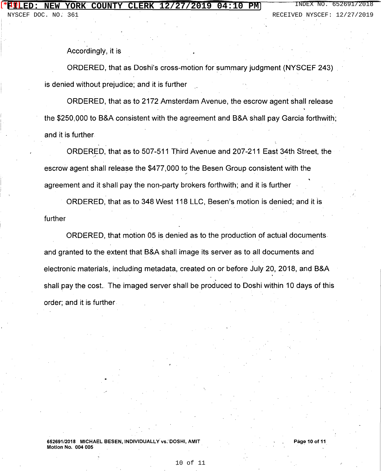NYSCEF DOC. NO. 361 RECEIVED NYSCEF: 12/27/2019

Accordingly, it is

ORDERED, that as Doshi's cross-motion for summary judgment (NYSCEF 243) is denied without prejudice; and it is further

ORDERED, that as to 2172 Amsterdam Avenue, the escrow agent shall release the \$250,000 to B&A consistent with the agreement and B&A shall pay Garcia forthwith; and it is further

ORDERED, that as to 507-511 Third Avenue and 207-211 East 34th Street, the \_, . escrow agent shall release the \$477,000 to the Besen Group consistent with the agreement and it shall pay the non-party brokers forthwith; and it is further

ORDERED, that as to 348 West 118 LLC, Besen's motion is denied; and it is further

ORDERED, that motion 05 is denied as to the production of actual documents and granted to the extent that B&A shall image its server as to all documents and electronic materials, including metadata, created on or before July 20, 2018, and B&A ' shall pay the cost. The imaged server shall be produced to Doshi within 10 days of this order; and it is further

652691/2018 MICHAEL BESEN, INDIVIDUALLY vs.' DOSHI, AMIT Motion No. 004 005

Page 10 of 11